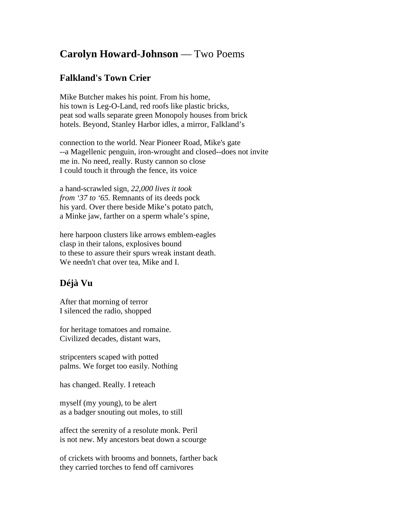## **Carolyn Howard-Johnson** — Two Poems

## **Falkland's Town Crier**

Mike Butcher makes his point. From his home, his town is Leg-O-Land, red roofs like plastic bricks, peat sod walls separate green Monopoly houses from brick hotels. Beyond, Stanley Harbor idles, a mirror, Falkland's

connection to the world. Near Pioneer Road, Mike's gate --a Magellenic penguin, iron-wrought and closed--does not invite me in. No need, really. Rusty cannon so close I could touch it through the fence, its voice

a hand-scrawled sign, *22,000 lives it took from '37 to '65.* Remnants of its deeds pock his yard. Over there beside Mike's potato patch, a Minke jaw, farther on a sperm whale's spine,

here harpoon clusters like arrows emblem-eagles clasp in their talons, explosives bound to these to assure their spurs wreak instant death. We needn't chat over tea, Mike and I.

## **Déjà Vu**

After that morning of terror I silenced the radio, shopped

for heritage tomatoes and romaine. Civilized decades, distant wars,

stripcenters scaped with potted palms. We forget too easily. Nothing

has changed. Really. I reteach

myself (my young), to be alert as a badger snouting out moles, to still

affect the serenity of a resolute monk. Peril is not new. My ancestors beat down a scourge

of crickets with brooms and bonnets, farther back they carried torches to fend off carnivores